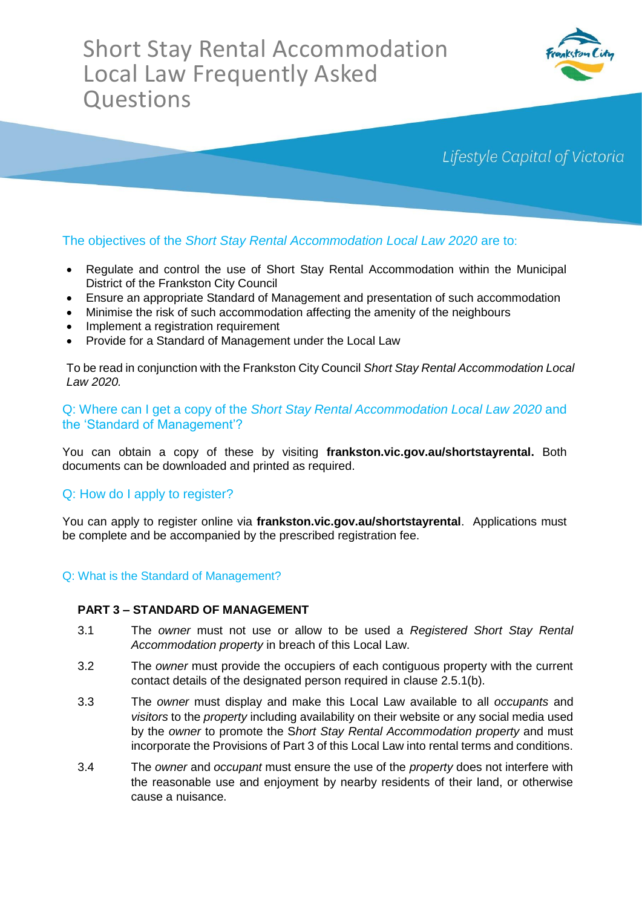# Short Stay Rental Accommodation Local Law Frequently Asked **Questions**



# Lifestyle Capital of Victoria

# The objectives of the *Short Stay Rental Accommodation Local Law 2020* are to:

- Regulate and control the use of Short Stay Rental Accommodation within the Municipal District of the Frankston City Council
- Ensure an appropriate Standard of Management and presentation of such accommodation
- Minimise the risk of such accommodation affecting the amenity of the neighbours
- Implement a registration requirement
- Provide for a Standard of Management under the Local Law

To be read in conjunction with the Frankston City Council *Short Stay Rental Accommodation Local Law 2020.*

# Q: Where can I get a copy of the *Short Stay Rental Accommodation Local Law 2020* and the 'Standard of Management'?

You can obtain a copy of these by visiting **frankston.vic.gov.au/shortstayrental.** Both documents can be downloaded and printed as required.

# Q: How do I apply to register?

You can apply to register online via **frankston.vic.gov.au/shortstayrental**. Applications must be complete and be accompanied by the prescribed registration fee.

#### Q: What is the Standard of Management?

#### **PART 3 – STANDARD OF MANAGEMENT**

- 3.1 The *owner* must not use or allow to be used a *Registered Short Stay Rental Accommodation property* in breach of this Local Law.
- 3.2 The *owner* must provide the occupiers of each contiguous property with the current contact details of the designated person required in clause 2.5.1(b).
- 3.3 The *owner* must display and make this Local Law available to all *occupants* and *visitors* to the *property* including availability on their website or any social media used by the *owner* to promote the S*hort Stay Rental Accommodation property* and must incorporate the Provisions of Part 3 of this Local Law into rental terms and conditions.
- 3.4 The *owner* and *occupant* must ensure the use of the *property* does not interfere with the reasonable use and enjoyment by nearby residents of their land, or otherwise cause a nuisance.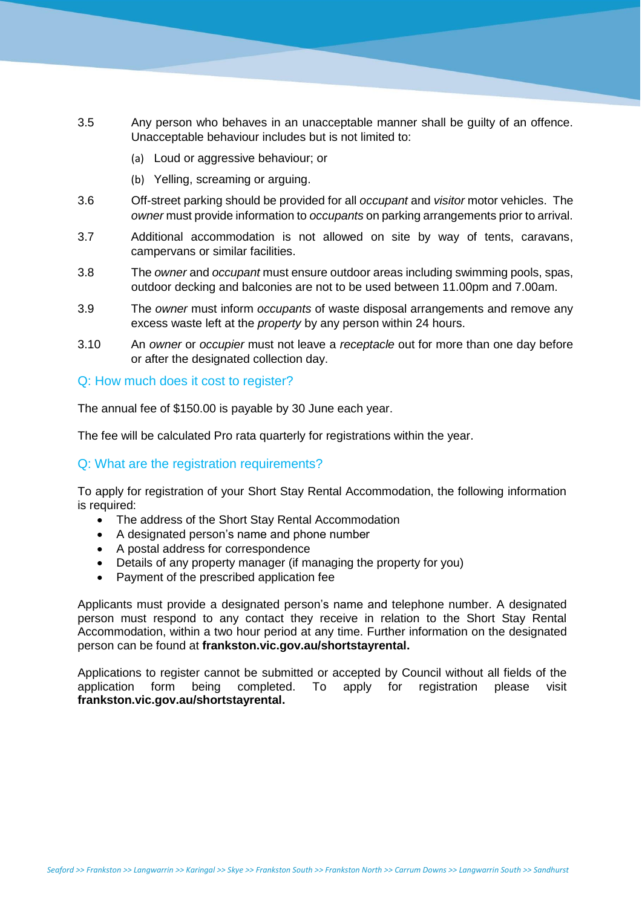- 3.5 Any person who behaves in an unacceptable manner shall be guilty of an offence. Unacceptable behaviour includes but is not limited to:
	- (a) Loud or aggressive behaviour; or
	- (b) Yelling, screaming or arguing.
- 3.6 Off-street parking should be provided for all *occupant* and *visitor* motor vehicles. The *owner* must provide information to *occupants* on parking arrangements prior to arrival.
- 3.7 Additional accommodation is not allowed on site by way of tents, caravans, campervans or similar facilities.
- 3.8 The *owner* and *occupant* must ensure outdoor areas including swimming pools, spas, outdoor decking and balconies are not to be used between 11.00pm and 7.00am.
- 3.9 The *owner* must inform *occupants* of waste disposal arrangements and remove any excess waste left at the *property* by any person within 24 hours.
- 3.10 An *owner* or *occupier* must not leave a *receptacle* out for more than one day before or after the designated collection day.

#### Q: How much does it cost to register?

The annual fee of \$150.00 is payable by 30 June each year.

The fee will be calculated Pro rata quarterly for registrations within the year.

#### Q: What are the registration requirements?

To apply for registration of your Short Stay Rental Accommodation, the following information is required:

- The address of the Short Stay Rental Accommodation
- A designated person's name and phone number
- A postal address for correspondence
- Details of any property manager (if managing the property for you)
- Payment of the prescribed application fee

Applicants must provide a designated person's name and telephone number. A designated person must respond to any contact they receive in relation to the Short Stay Rental Accommodation, within a two hour period at any time. Further information on the designated person can be found at **frankston.vic.gov.au/shortstayrental.**

Applications to register cannot be submitted or accepted by Council without all fields of the application form being completed. To apply for registration please visit **frankston.vic.gov.au/shortstayrental.**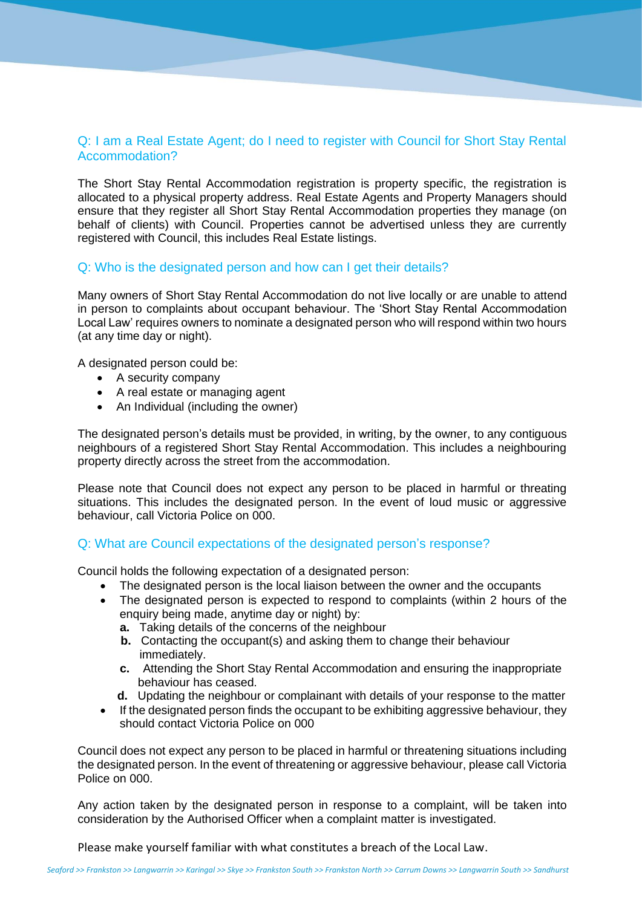# Q: I am a Real Estate Agent; do I need to register with Council for Short Stay Rental Accommodation?

The Short Stay Rental Accommodation registration is property specific, the registration is allocated to a physical property address. Real Estate Agents and Property Managers should ensure that they register all Short Stay Rental Accommodation properties they manage (on behalf of clients) with Council. Properties cannot be advertised unless they are currently registered with Council, this includes Real Estate listings.

#### Q: Who is the designated person and how can I get their details?

Many owners of Short Stay Rental Accommodation do not live locally or are unable to attend in person to complaints about occupant behaviour. The 'Short Stay Rental Accommodation Local Law' requires owners to nominate a designated person who will respond within two hours (at any time day or night).

A designated person could be:

- A security company
- A real estate or managing agent
- An Individual (including the owner)

The designated person's details must be provided, in writing, by the owner, to any contiguous neighbours of a registered Short Stay Rental Accommodation. This includes a neighbouring property directly across the street from the accommodation.

Please note that Council does not expect any person to be placed in harmful or threating situations. This includes the designated person. In the event of loud music or aggressive behaviour, call Victoria Police on 000.

# Q: What are Council expectations of the designated person's response?

Council holds the following expectation of a designated person:

- The designated person is the local liaison between the owner and the occupants
- The designated person is expected to respond to complaints (within 2 hours of the enquiry being made, anytime day or night) by:
	- **a.** Taking details of the concerns of the neighbour
	- **b.** Contacting the occupant(s) and asking them to change their behaviour immediately.
	- **c.** Attending the Short Stay Rental Accommodation and ensuring the inappropriate behaviour has ceased.
	- **d.** Updating the neighbour or complainant with details of your response to the matter
- If the designated person finds the occupant to be exhibiting aggressive behaviour, they should contact Victoria Police on 000

Council does not expect any person to be placed in harmful or threatening situations including the designated person. In the event of threatening or aggressive behaviour, please call Victoria Police on 000.

Any action taken by the designated person in response to a complaint, will be taken into consideration by the Authorised Officer when a complaint matter is investigated.

Please make yourself familiar with what constitutes a breach of the Local Law.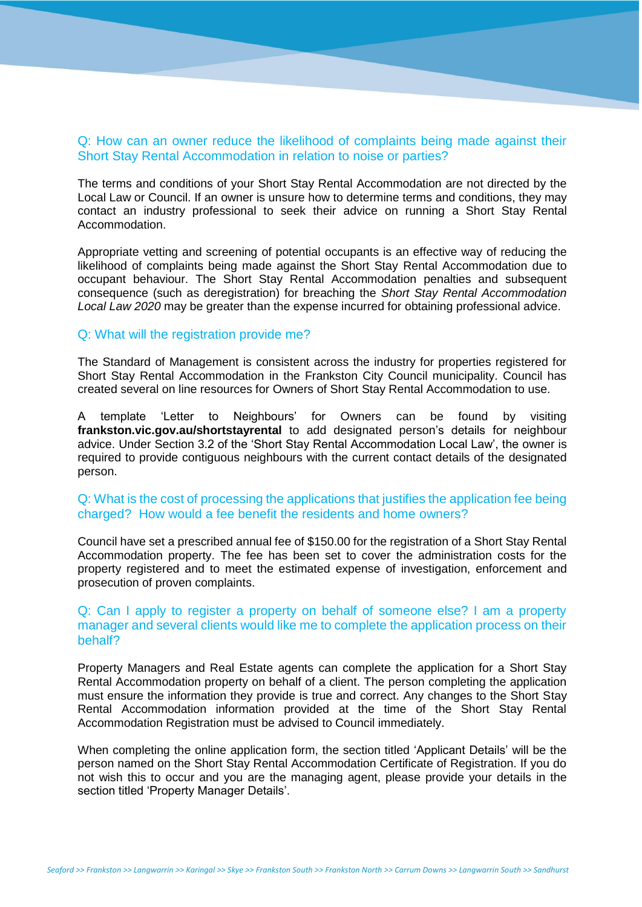## Q: How can an owner reduce the likelihood of complaints being made against their Short Stay Rental Accommodation in relation to noise or parties?

The terms and conditions of your Short Stay Rental Accommodation are not directed by the Local Law or Council. If an owner is unsure how to determine terms and conditions, they may contact an industry professional to seek their advice on running a Short Stay Rental Accommodation.

Appropriate vetting and screening of potential occupants is an effective way of reducing the likelihood of complaints being made against the Short Stay Rental Accommodation due to occupant behaviour. The Short Stay Rental Accommodation penalties and subsequent consequence (such as deregistration) for breaching the *Short Stay Rental Accommodation Local Law 2020* may be greater than the expense incurred for obtaining professional advice.

#### Q: What will the registration provide me?

The Standard of Management is consistent across the industry for properties registered for Short Stay Rental Accommodation in the Frankston City Council municipality. Council has created several on line resources for Owners of Short Stay Rental Accommodation to use.

A template 'Letter to Neighbours' for Owners can be found by visiting **frankston.vic.gov.au/shortstayrental** to add designated person's details for neighbour advice. Under Section 3.2 of the 'Short Stay Rental Accommodation Local Law', the owner is required to provide contiguous neighbours with the current contact details of the designated person.

#### Q: What is the cost of processing the applications that justifies the application fee being charged? How would a fee benefit the residents and home owners?

Council have set a prescribed annual fee of \$150.00 for the registration of a Short Stay Rental Accommodation property. The fee has been set to cover the administration costs for the property registered and to meet the estimated expense of investigation, enforcement and prosecution of proven complaints.

#### Q: Can I apply to register a property on behalf of someone else? I am a property manager and several clients would like me to complete the application process on their behalf?

Property Managers and Real Estate agents can complete the application for a Short Stay Rental Accommodation property on behalf of a client. The person completing the application must ensure the information they provide is true and correct. Any changes to the Short Stay Rental Accommodation information provided at the time of the Short Stay Rental Accommodation Registration must be advised to Council immediately.

When completing the online application form, the section titled 'Applicant Details' will be the person named on the Short Stay Rental Accommodation Certificate of Registration. If you do not wish this to occur and you are the managing agent, please provide your details in the section titled 'Property Manager Details'.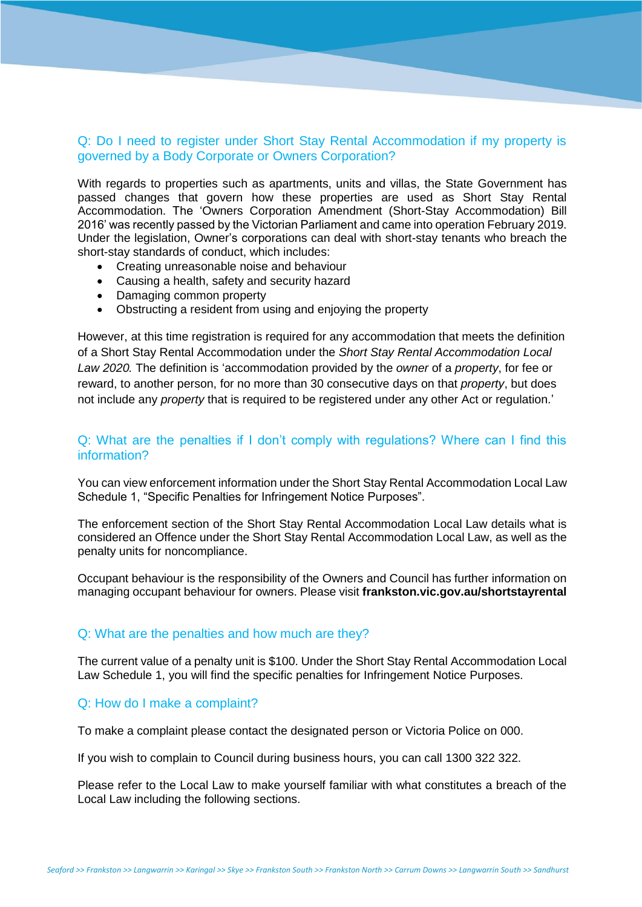# Q: Do I need to register under Short Stay Rental Accommodation if my property is governed by a Body Corporate or Owners Corporation?

With regards to properties such as apartments, units and villas, the State Government has passed changes that govern how these properties are used as Short Stay Rental Accommodation. The 'Owners Corporation Amendment (Short-Stay Accommodation) Bill 2016' was recently passed by the Victorian Parliament and came into operation February 2019. Under the legislation, Owner's corporations can deal with short-stay tenants who breach the short-stay standards of conduct, which includes:

- Creating unreasonable noise and behaviour
- Causing a health, safety and security hazard
- Damaging common property
- Obstructing a resident from using and enjoying the property

However, at this time registration is required for any accommodation that meets the definition of a Short Stay Rental Accommodation under the *Short Stay Rental Accommodation Local Law 2020.* The definition is 'accommodation provided by the *owner* of a *property*, for fee or reward, to another person, for no more than 30 consecutive days on that *property*, but does not include any *property* that is required to be registered under any other Act or regulation.'

#### Q: What are the penalties if I don't comply with regulations? Where can I find this information?

You can view enforcement information under the Short Stay Rental Accommodation Local Law Schedule 1, "Specific Penalties for Infringement Notice Purposes".

The enforcement section of the Short Stay Rental Accommodation Local Law details what is considered an Offence under the Short Stay Rental Accommodation Local Law, as well as the penalty units for noncompliance.

Occupant behaviour is the responsibility of the Owners and Council has further information on managing occupant behaviour for owners. Please visit **frankston.vic.gov.au/shortstayrental**

#### Q: What are the penalties and how much are they?

The current value of a penalty unit is \$100. Under the Short Stay Rental Accommodation Local Law Schedule 1, you will find the specific penalties for Infringement Notice Purposes.

#### Q: How do I make a complaint?

To make a complaint please contact the designated person or Victoria Police on 000.

If you wish to complain to Council during business hours, you can call 1300 322 322.

Please refer to the Local Law to make yourself familiar with what constitutes a breach of the Local Law including the following sections.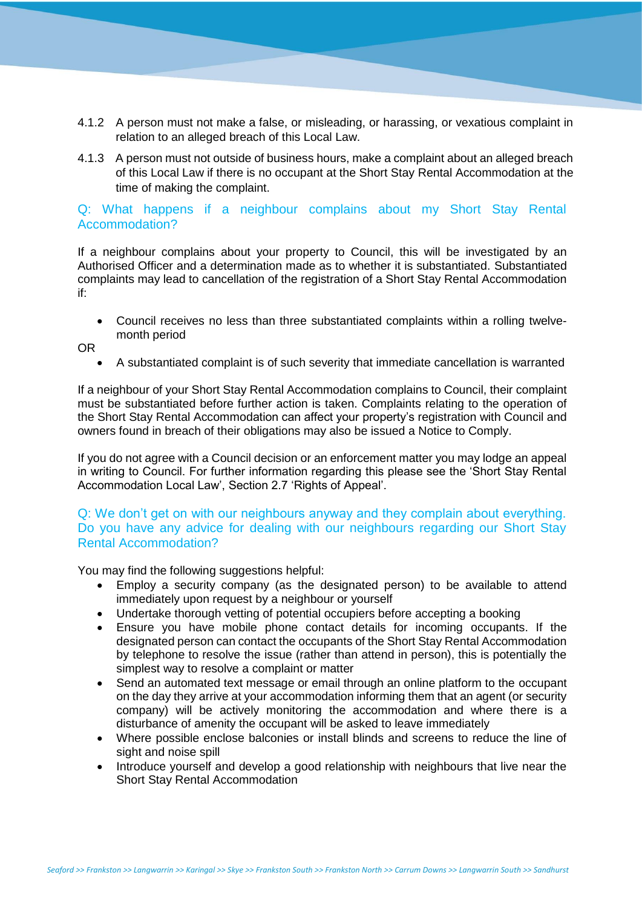- 4.1.2 A person must not make a false, or misleading, or harassing, or vexatious complaint in relation to an alleged breach of this Local Law.
- 4.1.3 A person must not outside of business hours, make a complaint about an alleged breach of this Local Law if there is no occupant at the Short Stay Rental Accommodation at the time of making the complaint.

### Q: What happens if a neighbour complains about my Short Stay Rental Accommodation?

If a neighbour complains about your property to Council, this will be investigated by an Authorised Officer and a determination made as to whether it is substantiated. Substantiated complaints may lead to cancellation of the registration of a Short Stay Rental Accommodation if:

 Council receives no less than three substantiated complaints within a rolling twelvemonth period

OR

A substantiated complaint is of such severity that immediate cancellation is warranted

If a neighbour of your Short Stay Rental Accommodation complains to Council, their complaint must be substantiated before further action is taken. Complaints relating to the operation of the Short Stay Rental Accommodation can affect your property's registration with Council and owners found in breach of their obligations may also be issued a Notice to Comply.

If you do not agree with a Council decision or an enforcement matter you may lodge an appeal in writing to Council. For further information regarding this please see the 'Short Stay Rental Accommodation Local Law', Section 2.7 'Rights of Appeal'.

Q: We don't get on with our neighbours anyway and they complain about everything. Do you have any advice for dealing with our neighbours regarding our Short Stay Rental Accommodation?

You may find the following suggestions helpful:

- Employ a security company (as the designated person) to be available to attend immediately upon request by a neighbour or yourself
- Undertake thorough vetting of potential occupiers before accepting a booking
- Ensure you have mobile phone contact details for incoming occupants. If the designated person can contact the occupants of the Short Stay Rental Accommodation by telephone to resolve the issue (rather than attend in person), this is potentially the simplest way to resolve a complaint or matter
- Send an automated text message or email through an online platform to the occupant on the day they arrive at your accommodation informing them that an agent (or security company) will be actively monitoring the accommodation and where there is a disturbance of amenity the occupant will be asked to leave immediately
- Where possible enclose balconies or install blinds and screens to reduce the line of sight and noise spill
- Introduce yourself and develop a good relationship with neighbours that live near the Short Stay Rental Accommodation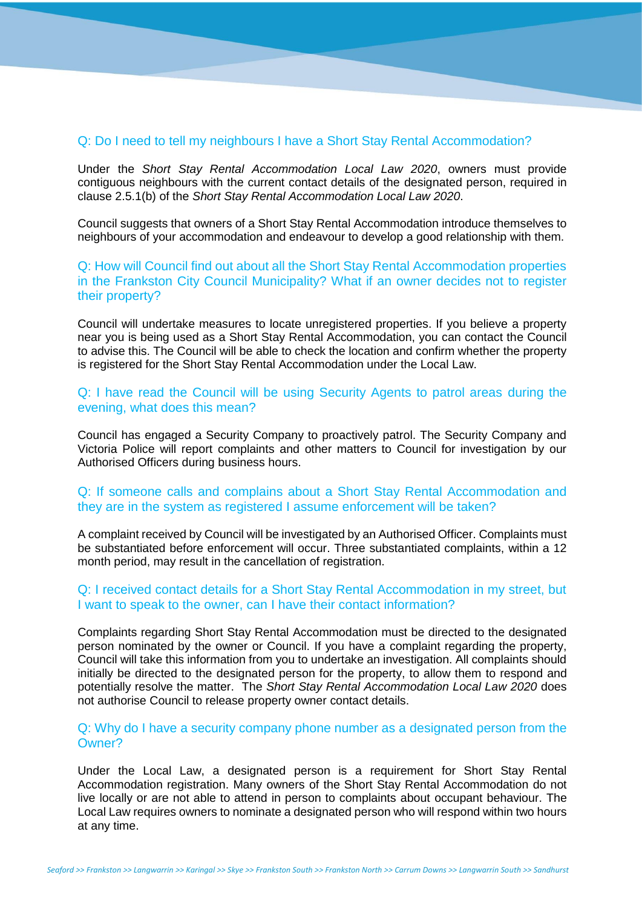#### Q: Do I need to tell my neighbours I have a Short Stay Rental Accommodation?

Under the *Short Stay Rental Accommodation Local Law 2020*, owners must provide contiguous neighbours with the current contact details of the designated person, required in clause 2.5.1(b) of the *Short Stay Rental Accommodation Local Law 2020*.

Council suggests that owners of a Short Stay Rental Accommodation introduce themselves to neighbours of your accommodation and endeavour to develop a good relationship with them.

Q: How will Council find out about all the Short Stay Rental Accommodation properties in the Frankston City Council Municipality? What if an owner decides not to register their property?

Council will undertake measures to locate unregistered properties. If you believe a property near you is being used as a Short Stay Rental Accommodation, you can contact the Council to advise this. The Council will be able to check the location and confirm whether the property is registered for the Short Stay Rental Accommodation under the Local Law.

Q: I have read the Council will be using Security Agents to patrol areas during the evening, what does this mean?

Council has engaged a Security Company to proactively patrol. The Security Company and Victoria Police will report complaints and other matters to Council for investigation by our Authorised Officers during business hours.

#### Q: If someone calls and complains about a Short Stay Rental Accommodation and they are in the system as registered I assume enforcement will be taken?

A complaint received by Council will be investigated by an Authorised Officer. Complaints must be substantiated before enforcement will occur. Three substantiated complaints, within a 12 month period, may result in the cancellation of registration.

#### Q: I received contact details for a Short Stay Rental Accommodation in my street, but I want to speak to the owner, can I have their contact information?

Complaints regarding Short Stay Rental Accommodation must be directed to the designated person nominated by the owner or Council. If you have a complaint regarding the property, Council will take this information from you to undertake an investigation. All complaints should initially be directed to the designated person for the property, to allow them to respond and potentially resolve the matter. The *Short Stay Rental Accommodation Local Law 2020* does not authorise Council to release property owner contact details.

#### Q: Why do I have a security company phone number as a designated person from the Owner?

Under the Local Law, a designated person is a requirement for Short Stay Rental Accommodation registration. Many owners of the Short Stay Rental Accommodation do not live locally or are not able to attend in person to complaints about occupant behaviour. The Local Law requires owners to nominate a designated person who will respond within two hours at any time.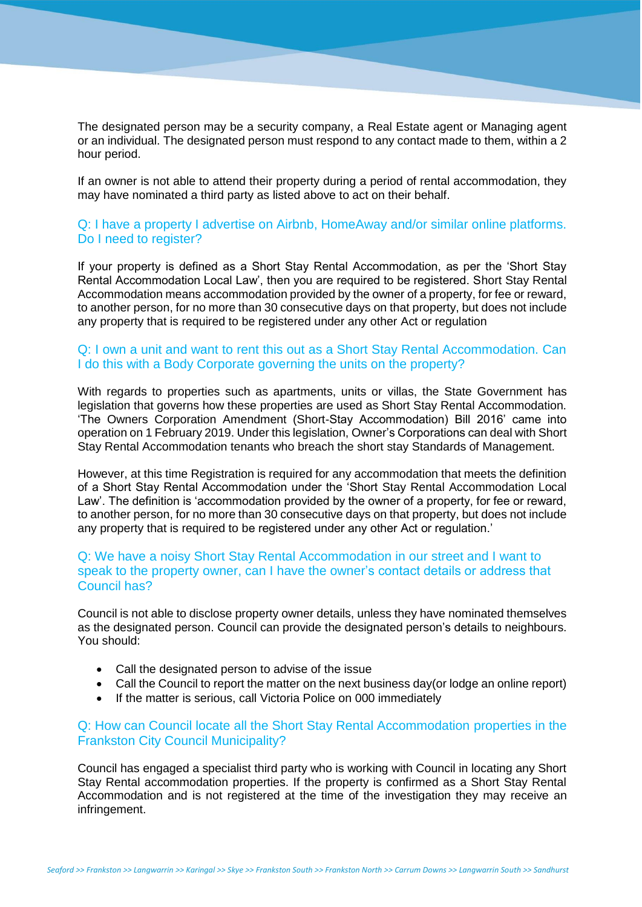The designated person may be a security company, a Real Estate agent or Managing agent or an individual. The designated person must respond to any contact made to them, within a 2 hour period.

If an owner is not able to attend their property during a period of rental accommodation, they may have nominated a third party as listed above to act on their behalf.

## Q: I have a property I advertise on Airbnb, HomeAway and/or similar online platforms. Do I need to register?

If your property is defined as a Short Stay Rental Accommodation, as per the 'Short Stay Rental Accommodation Local Law', then you are required to be registered. Short Stay Rental Accommodation means accommodation provided by the owner of a property, for fee or reward, to another person, for no more than 30 consecutive days on that property, but does not include any property that is required to be registered under any other Act or regulation

# Q: I own a unit and want to rent this out as a Short Stay Rental Accommodation. Can I do this with a Body Corporate governing the units on the property?

With regards to properties such as apartments, units or villas, the State Government has legislation that governs how these properties are used as Short Stay Rental Accommodation. 'The Owners Corporation Amendment (Short-Stay Accommodation) Bill 2016' came into operation on 1 February 2019. Under this legislation, Owner's Corporations can deal with Short Stay Rental Accommodation tenants who breach the short stay Standards of Management.

However, at this time Registration is required for any accommodation that meets the definition of a Short Stay Rental Accommodation under the 'Short Stay Rental Accommodation Local Law'. The definition is 'accommodation provided by the owner of a property, for fee or reward, to another person, for no more than 30 consecutive days on that property, but does not include any property that is required to be registered under any other Act or regulation.'

# Q: We have a noisy Short Stay Rental Accommodation in our street and I want to speak to the property owner, can I have the owner's contact details or address that Council has?

Council is not able to disclose property owner details, unless they have nominated themselves as the designated person. Council can provide the designated person's details to neighbours. You should:

- Call the designated person to advise of the issue
- Call the Council to report the matter on the next business day(or lodge an online report)
- If the matter is serious, call Victoria Police on 000 immediately

# Q: How can Council locate all the Short Stay Rental Accommodation properties in the Frankston City Council Municipality?

Council has engaged a specialist third party who is working with Council in locating any Short Stay Rental accommodation properties. If the property is confirmed as a Short Stay Rental Accommodation and is not registered at the time of the investigation they may receive an infringement.